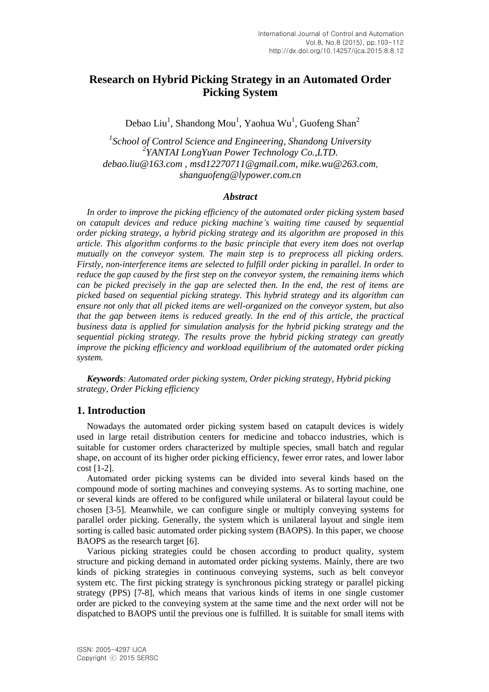# **Research on Hybrid Picking Strategy in an Automated Order Picking System**

Debao Liu<sup>1</sup>, Shandong Mou<sup>1</sup>, Yaohua Wu<sup>1</sup>, Guofeng Shan<sup>2</sup>

*1 School of Control Science and Engineering, Shandong University 2 YANTAI LongYuan Power Technology Co.,LTD. [debao.liu@163.com](mailto:debao.liu@163.com) , [msd12270711@gmail.com,](mailto:msd12270711@gmail.com) [mike.wu@263.com](mailto:mike.wu@263.com)*, *[shanguofeng@lypower.com.cn](mailto:xxxxxg@163.com)*

#### *Abstract*

*In order to improve the picking efficiency of the automated order picking system based on catapult devices and reduce picking machine's waiting time caused by sequential order picking strategy, a hybrid picking strategy and its algorithm are proposed in this article. This algorithm conforms to the basic principle that every item does not overlap mutually on the conveyor system. The main step is to preprocess all picking orders. Firstly, non-interference items are selected to fulfill order picking in parallel. In order to reduce the gap caused by the first step on the conveyor system, the remaining items which can be picked precisely in the gap are selected then. In the end, the rest of items are picked based on sequential picking strategy. This hybrid strategy and its algorithm can ensure not only that all picked items are well-organized on the conveyor system, but also that the gap between items is reduced greatly. In the end of this article, the practical business data is applied for simulation analysis for the hybrid picking strategy and the sequential picking strategy. The results prove the hybrid picking strategy can greatly improve the picking efficiency and workload equilibrium of the automated order picking system.* 

*Keywords: Automated order picking system, Order picking strategy, Hybrid picking strategy, Order Picking efficiency*

#### **1. Introduction**

Nowadays the automated order picking system based on catapult devices is widely used in large retail distribution centers for medicine and tobacco industries, which is suitable for customer orders characterized by multiple species, small batch and regular shape, on account of its higher order picking efficiency, fewer error rates, and lower labor cost [1-2].

Automated order picking systems can be divided into several kinds based on the compound mode of sorting machines and conveying systems. As to sorting machine, one or several kinds are offered to be configured while unilateral or bilateral layout could be chosen [3-5]. Meanwhile, we can configure single or multiply conveying systems for parallel order picking. Generally, the system which is unilateral layout and single item sorting is called basic automated order picking system (BAOPS). In this paper, we choose BAOPS as the research target [6].

Various picking strategies could be chosen according to product quality, system structure and picking demand in automated order picking systems. Mainly, there are two kinds of picking strategies in continuous conveying systems, such as belt conveyor system etc. The first picking strategy is synchronous picking strategy or parallel picking strategy (PPS) [7-8], which means that various kinds of items in one single customer order are picked to the conveying system at the same time and the next order will not be dispatched to BAOPS until the previous one is fulfilled. It is suitable for small items with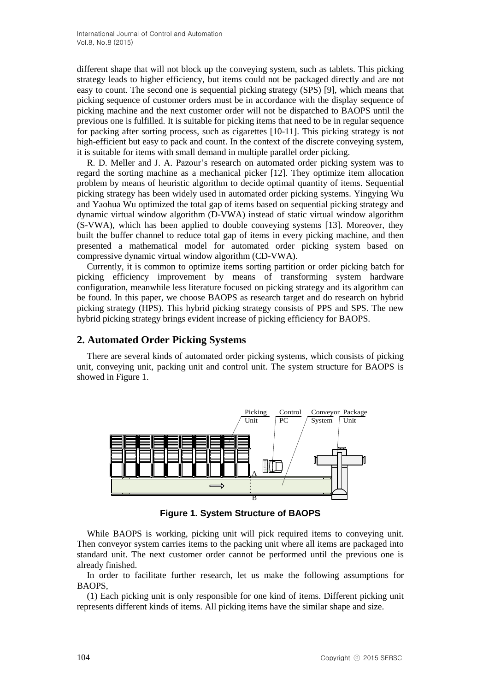different shape that will not block up the conveying system, such as tablets. This picking strategy leads to higher efficiency, but items could not be packaged directly and are not easy to count. The second one is sequential picking strategy (SPS) [9], which means that picking sequence of customer orders must be in accordance with the display sequence of picking machine and the next customer order will not be dispatched to BAOPS until the previous one is fulfilled. It is suitable for picking items that need to be in regular sequence for packing after sorting process, such as cigarettes [10-11]. This picking strategy is not high-efficient but easy to pack and count. In the context of the discrete conveying system, it is suitable for items with small demand in multiple parallel order picking.

R. D. Meller and J. A. Pazour's research on automated order picking system was to regard the sorting machine as a mechanical picker [12]. They optimize item allocation problem by means of heuristic algorithm to decide optimal quantity of items. Sequential picking strategy has been widely used in automated order picking systems. Yingying Wu and Yaohua Wu optimized the total gap of items based on sequential picking strategy and dynamic virtual window algorithm (D-VWA) instead of static virtual window algorithm (S-VWA), which has been applied to double conveying systems [13]. Moreover, they built the buffer channel to reduce total gap of items in every picking machine, and then presented a mathematical model for automated order picking system based on compressive dynamic virtual window algorithm (CD-VWA).

Currently, it is common to optimize items sorting partition or order picking batch for picking efficiency improvement by means of transforming system hardware configuration, meanwhile less literature focused on picking strategy and its algorithm can be found. In this paper, we choose BAOPS as research target and do research on hybrid picking strategy (HPS). This hybrid picking strategy consists of PPS and SPS. The new hybrid picking strategy brings evident increase of picking efficiency for BAOPS.

### **2. Automated Order Picking Systems**

There are several kinds of automated order picking systems, which consists of picking unit, conveying unit, packing unit and control unit. The system structure for BAOPS is showed in Figure 1.



**Figure 1. System Structure of BAOPS**

While BAOPS is working, picking unit will pick required items to conveying unit. Then conveyor system carries items to the packing unit where all items are packaged into standard unit. The next customer order cannot be performed until the previous one is already finished.

In order to facilitate further research, let us make the following assumptions for BAOPS,

(1) Each picking unit is only responsible for one kind of items. Different picking unit represents different kinds of items. All picking items have the similar shape and size.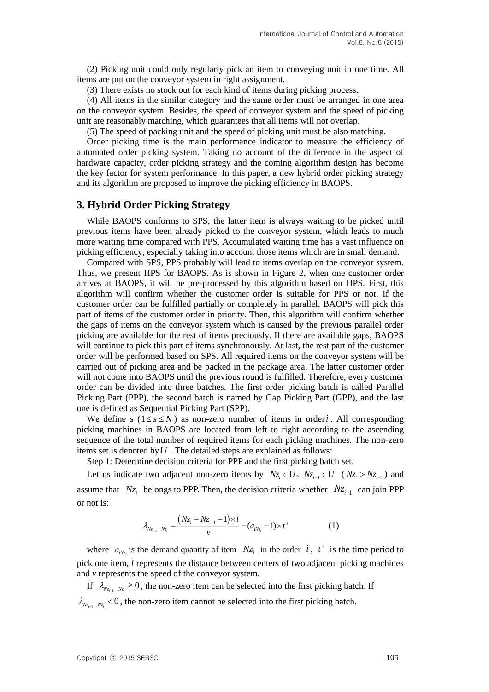(2) Picking unit could only regularly pick an item to conveying unit in one time. All items are put on the conveyor system in right assignment.

(3) There exists no stock out for each kind of items during picking process.

(4) All items in the similar category and the same order must be arranged in one area on the conveyor system. Besides, the speed of conveyor system and the speed of picking unit are reasonably matching, which guarantees that all items will not overlap.

(5) The speed of packing unit and the speed of picking unit must be also matching.

Order picking time is the main performance indicator to measure the efficiency of automated order picking system. Taking no account of the difference in the aspect of hardware capacity, order picking strategy and the coming algorithm design has become the key factor for system performance. In this paper, a new hybrid order picking strategy and its algorithm are proposed to improve the picking efficiency in BAOPS.

#### **3. Hybrid Order Picking Strategy**

While BAOPS conforms to SPS, the latter item is always waiting to be picked until previous items have been already picked to the conveyor system, which leads to much more waiting time compared with PPS. Accumulated waiting time has a vast influence on picking efficiency, especially taking into account those items which are in small demand.

Compared with SPS, PPS probably will lead to items overlap on the conveyor system. Thus, we present HPS for BAOPS. As is shown in Figure 2, when one customer order arrives at BAOPS, it will be pre-processed by this algorithm based on HPS. First, this algorithm will confirm whether the customer order is suitable for PPS or not. If the customer order can be fulfilled partially or completely in parallel, BAOPS will pick this part of items of the customer order in priority. Then, this algorithm will confirm whether the gaps of items on the conveyor system which is caused by the previous parallel order picking are available for the rest of items preciously. If there are available gaps, BAOPS will continue to pick this part of items synchronously. At last, the rest part of the customer order will be performed based on SPS. All required items on the conveyor system will be carried out of picking area and be packed in the package area. The latter customer order will not come into BAOPS until the previous round is fulfilled. Therefore, every customer order can be divided into three batches. The first order picking batch is called Parallel Picking Part (PPP), the second batch is named by Gap Picking Part (GPP), and the last one is defined as Sequential Picking Part (SPP).

We define s  $(1 \le s \le N)$  as non-zero number of items in order *i*. All corresponding picking machines in BAOPS are located from left to right according to the ascending sequence of the total number of required items for each picking machines. The non-zero items set is denoted by  $U$ . The detailed steps are explained as follows:

Step 1: Determine decision criteria for PPP and the first picking batch set.

Let us indicate two adjacent non-zero items by  $Nz_i \in U$ ,  $Nz_{i-1} \in U$  ( $Nz_i > Nz_{i-1}$ ) and assume that  $Nz_i$  belongs to PPP. Then, the decision criteria whether  $Nz_{i-1}$  can join PPP or not is:

$$
\lambda_{N_{z_{i-1}}-N_{z_i}} = \frac{(N_{z_i}-N_{z_{i-1}}-1)\times l}{v} - (a_{iN_{z_i}}-1)\times t' \tag{1}
$$

where  $a_{iNz_i}$  is the demand quantity of item  $Nz_i$  in the order i, t is the time period to pick one item, *l* represents the distance between centers of two adjacent picking machines and *v* represents the speed of the conveyor system.

If  $\lambda_{N_{z_{i-1}}-N_{z_i}} \geq 0$ , the non-zero item can be selected into the first picking batch. If  $\lambda_{N_{z_{i-1}}-N_{z_i}}$  < 0, the non-zero item cannot be selected into the first picking batch.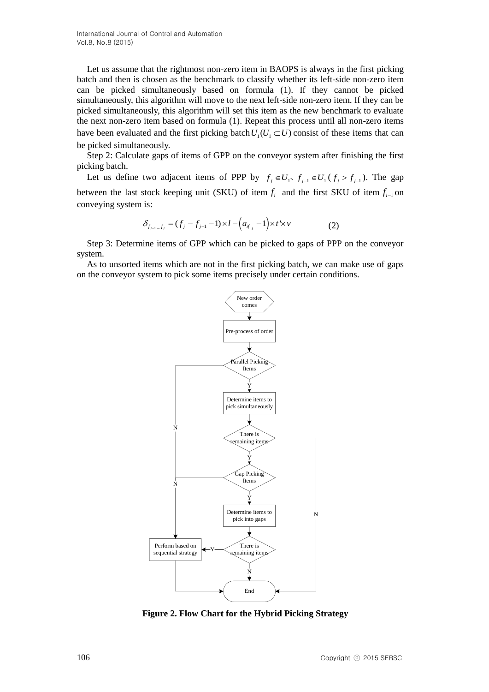International Journal of Control and Automation Vol.8, No.8 (2015)

Let us assume that the rightmost non-zero item in BAOPS is always in the first picking batch and then is chosen as the benchmark to classify whether its left-side non-zero item can be picked simultaneously based on formula (1). If they cannot be picked simultaneously, this algorithm will move to the next left-side non-zero item. If they can be picked simultaneously, this algorithm will set this item as the new benchmark to evaluate the next non-zero item based on formula (1). Repeat this process until all non-zero items have been evaluated and the first picking batch  $U_1(U_1 \subset U)$  consist of these items that can be picked simultaneously.

Step 2: Calculate gaps of items of GPP on the conveyor system after finishing the first picking batch.

Let us define two adjacent items of PPP by  $f_j \in U_1$ ,  $f_{j-1} \in U_1$  ( $f_j > f_{j-1}$ ). The gap between the last stock keeping unit (SKU) of item  $f_i$  and the first SKU of item  $f_{i-1}$  on conveying system is:

$$
\delta_{f_{j-1}-f_j} = (f_j - f_{j-1} - 1) \times l - (a_{i^r j} - 1) \times t^1 \times v \tag{2}
$$

Step 3: Determine items of GPP which can be picked to gaps of PPP on the conveyor system.

As to unsorted items which are not in the first picking batch, we can make use of gaps on the conveyor system to pick some items precisely under certain conditions.



**Figure 2. Flow Chart for the Hybrid Picking Strategy**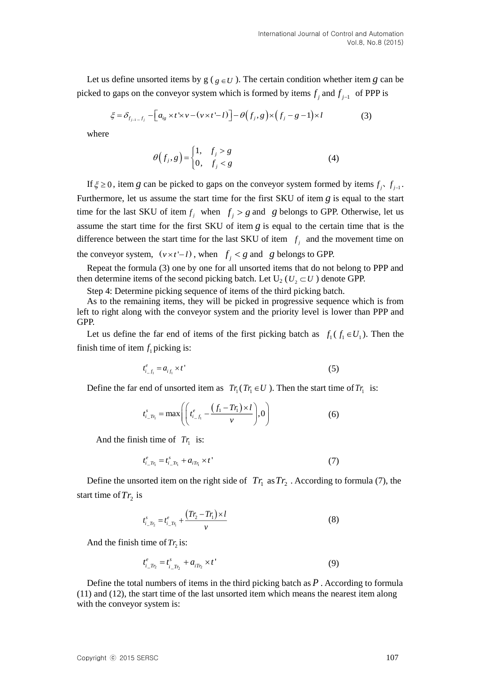Let us define unsorted items by  $g(g \in U)$ . The certain condition whether item g can be picked to gaps on the conveyor system which is formed by items  $f_j$  and  $f_{j-1}$  of PPP is

$$
\xi = \delta_{f_{j-1}-f_j} - \left[a_{ig} \times t \times v - (v \times t - l)\right] - \theta\left(f_j, g\right) \times \left(f_j - g - 1\right) \times l \tag{3}
$$

where

$$
\theta(f_j, g) = \begin{cases} 1, & f_j > g \\ 0, & f_j < g \end{cases} \tag{4}
$$

If  $\xi \ge 0$ , item g can be picked to gaps on the conveyor system formed by items  $f_j$ ,  $f_{j-1}$ . Furthermore, let us assume the start time for the first SKU of item *g* is equal to the start time for the last SKU of item  $f_j$  when  $f_j > g$  and g belongs to GPP. Otherwise, let us assume the start time for the first SKU of item *g* is equal to the certain time that is the difference between the start time for the last SKU of item  $f_i$  and the movement time on the conveyor system,  $(v \times t^1 - l)$ , when  $f_j < g$  and g belongs to GPP.

Repeat the formula (3) one by one for all unsorted items that do not belong to PPP and then determine items of the second picking batch. Let  $U_2$  ( $U_2 \subset U$ ) denote GPP.

Step 4: Determine picking sequence of items of the third picking batch.

As to the remaining items, they will be picked in progressive sequence which is from left to right along with the conveyor system and the priority level is lower than PPP and GPP.

Let us define the far end of items of the first picking batch as  $f_1(f_1 \in U_1)$ . Then the finish time of item  $f_1$  picking is:

$$
t_{i_{-}f_{1}}^{e} = a_{i_{f_{1}}} \times t' \tag{5}
$$

Define the far end of unsorted item as  $Tr_1(Tr_1 \in U)$ . Then the start time of  $Tr_1$  is:

$$
t_{i\_T_{l}}^{s} = \max \left( \left( t_{i\_f_{l}}^{e} - \frac{\left( f_{1} - T r_{l} \right) \times l}{v} \right), 0 \right) \tag{6}
$$

And the finish time of  $Tr_1$  is:

$$
t_{i\_T_{r_1}}^e = t_{i\_T_{r_1}}^s + a_{iT_{r_1}} \times t'
$$
 (7)

Define the unsorted item on the right side of  $Tr_1$  as  $Tr_2$ . According to formula (7), the start time of  $Tr_2$  is

$$
t_{i\_T_{r_2}}^s = t_{i\_T_{r_1}}^e + \frac{(T_{r_2} - T_{r_1}) \times l}{v}
$$
 (8)

And the finish time of  $Tr_2$  is:

$$
t_{i\_T_{r_2}}^e = t_{i\_T_{r_2}}^s + a_{iT_{r_2}} \times t'
$$
\n(9)

Define the total numbers of items in the third picking batch as *P* . According to formula (11) and (12), the start time of the last unsorted item which means the nearest item along with the conveyor system is: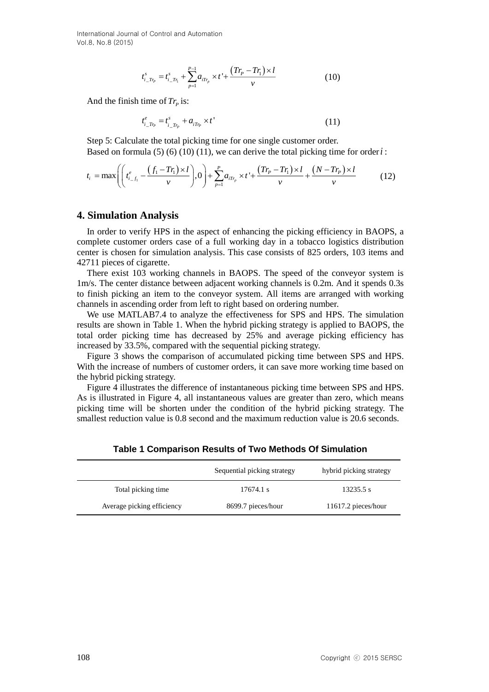International Journal of Control and Automation Vol.8, No.8 (2015)

$$
t_{i\_T r_p}^s = t_{i\_T r_1}^s + \sum_{p=1}^{P-1} a_{i T r_p} \times t + \frac{(T r_p - T r_1) \times l}{v}
$$
 (10)

And the finish time of  $Tr_p$  is:

$$
t_{i\_Tr_P}^e = t_{i\_Tr_P}^s + a_{iTr_P} \times t'
$$
 (11)

Step 5: Calculate the total picking time for one single customer order. Based on formula  $(5)$   $(6)$   $(10)$   $(11)$ , we can derive the total picking time for order  $i$ :

$$
t_{i} = \max\left( \left( t_{i-f_{1}}^{e} - \frac{(f_{1} - Tr_{1}) \times l}{\nu} \right), 0 \right) + \sum_{p=1}^{P} a_{iTr_{p}} \times t^{2} + \frac{(Tr_{p} - Tr_{1}) \times l}{\nu} + \frac{(N - Tr_{p}) \times l}{\nu} \tag{12}
$$

#### **4. Simulation Analysis**

In order to verify HPS in the aspect of enhancing the picking efficiency in BAOPS, a complete customer orders case of a full working day in a tobacco logistics distribution center is chosen for simulation analysis. This case consists of 825 orders, 103 items and 42711 pieces of cigarette.

There exist 103 working channels in BAOPS. The speed of the conveyor system is 1m/s. The center distance between adjacent working channels is 0.2m. And it spends 0.3s to finish picking an item to the conveyor system. All items are arranged with working channels in ascending order from left to right based on ordering number.

We use MATLAB7.4 to analyze the effectiveness for SPS and HPS. The simulation results are shown in Table 1. When the hybrid picking strategy is applied to BAOPS, the total order picking time has decreased by 25% and average picking efficiency has increased by 33.5%, compared with the sequential picking strategy.

Figure 3 shows the comparison of accumulated picking time between SPS and HPS. With the increase of numbers of customer orders, it can save more working time based on the hybrid picking strategy.

Figure 4 illustrates the difference of instantaneous picking time between SPS and HPS. As is illustrated in Figure 4, all instantaneous values are greater than zero, which means picking time will be shorten under the condition of the hybrid picking strategy. The smallest reduction value is 0.8 second and the maximum reduction value is 20.6 seconds.

|                            | Sequential picking strategy | hybrid picking strategy |
|----------------------------|-----------------------------|-------------------------|
| Total picking time         | 17674.1 s                   | 13235.5 s               |
| Average picking efficiency | 8699.7 pieces/hour          | 11617.2 pieces/hour     |

**Table 1 Comparison Results of Two Methods Of Simulation**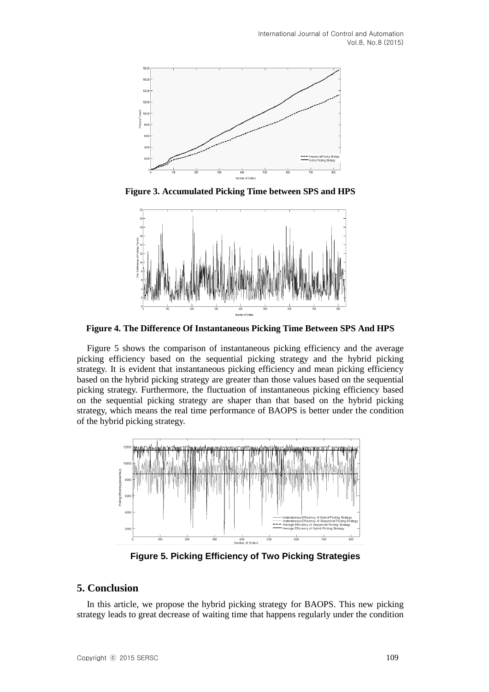

**Figure 3. Accumulated Picking Time between SPS and HPS**



**Figure 4. The Difference Of Instantaneous Picking Time Between SPS And HPS**

Figure 5 shows the comparison of instantaneous picking efficiency and the average picking efficiency based on the sequential picking strategy and the hybrid picking strategy. It is evident that instantaneous picking efficiency and mean picking efficiency based on the hybrid picking strategy are greater than those values based on the sequential picking strategy. Furthermore, the fluctuation of instantaneous picking efficiency based on the sequential picking strategy are shaper than that based on the hybrid picking strategy, which means the real time performance of BAOPS is better under the condition of the hybrid picking strategy.



**Figure 5. Picking Efficiency of Two Picking Strategies**

# **5. Conclusion**

In this article, we propose the hybrid picking strategy for BAOPS. This new picking strategy leads to great decrease of waiting time that happens regularly under the condition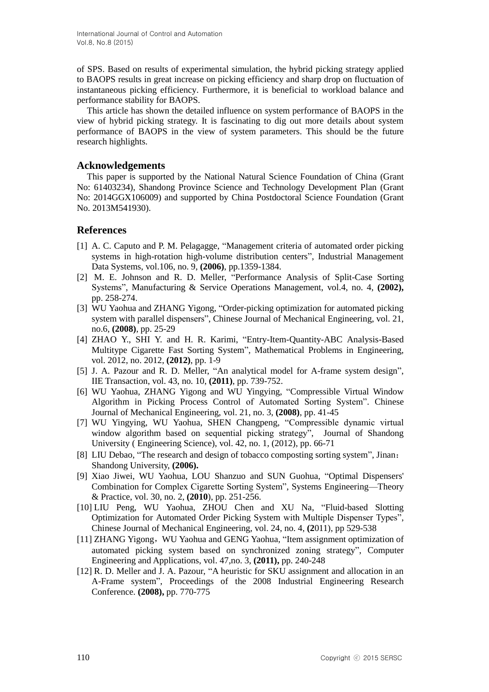of SPS. Based on results of experimental simulation, the hybrid picking strategy applied to BAOPS results in great increase on picking efficiency and sharp drop on fluctuation of instantaneous picking efficiency. Furthermore, it is beneficial to workload balance and performance stability for BAOPS.

This article has shown the detailed influence on system performance of BAOPS in the view of hybrid picking strategy. It is fascinating to dig out more details about system performance of BAOPS in the view of system parameters. This should be the future research highlights.

### **Acknowledgements**

This paper is supported by the National Natural Science Foundation of China (Grant No: 61403234), Shandong Province Science and Technology Development Plan (Grant No: 2014GGX106009) and supported by China Postdoctoral Science Foundation (Grant No. 2013M541930).

### **References**

- [1] A. C. Caputo and P. M. Pelagagge, "Management criteria of automated order picking systems in high-rotation high-volume distribution centers", Industrial Management Data Systems, vol.106, no. 9, **(2006)**, pp.1359-1384.
- [2] M. E. Johnson and R. D. Meller, "Performance Analysis of Split-Case Sorting Systems", Manufacturing & Service Operations Management, vol.4, no. 4, **(2002),**  pp. 258-274.
- [3] WU Yaohua and ZHANG Yigong, "Order-picking optimization for automated picking system with parallel dispensers", Chinese Journal of Mechanical Engineering, vol. 21, no.6, **(2008)**, pp. 25-29
- [4] ZHAO Y., SHI Y. and H. R. Karimi, "Entry-Item-Quantity-ABC Analysis-Based Multitype Cigarette Fast Sorting System", Mathematical Problems in Engineering, vol. 2012, no. 2012, **(2012)**, pp. 1-9
- [5] J. A. Pazour and R. D. Meller, "An analytical model for A-frame system design", IIE Transaction, vol. 43, no. 10, **(2011)**, pp. 739-752.
- [6] WU Yaohua, ZHANG Yigong and WU Yingying, "Compressible Virtual Window Algorithm in Picking Process Control of Automated Sorting System". Chinese Journal of Mechanical Engineering, vol. 21, no. 3, **(2008)**, pp. 41-45
- [7] WU Yingying, WU Yaohua, SHEN Changpeng, "Compressible dynamic virtual window algorithm based on sequential picking strategy", Journal of Shandong University ( Engineering Science), vol. 42, no. 1, (2012), pp. 66-71
- [8] LIU Debao, "The research and design of tobacco composting sorting system", Jinan: Shandong University, **(2006).**
- [9] Xiao Jiwei, WU Yaohua, LOU Shanzuo and SUN Guohua, "Optimal Dispensers' Combination for Complex Cigarette Sorting System", Systems Engineering—Theory & Practice, vol. 30, no. 2, **(2010**), pp. 251-256.
- [10] LIU Peng, WU Yaohua, ZHOU Chen and XU Na, "Fluid-based Slotting Optimization for Automated Order Picking System with Multiple Dispenser Types", Chinese Journal of Mechanical Engineering, vol. 24, no. 4, **(2**011), pp 529-538
- [11] ZHANG Yigong,WU Yaohua and GENG Yaohua, "Item assignment optimization of automated picking system based on synchronized zoning strategy", Computer Engineering and Applications, vol. 47,no. 3, **(2011),** pp. 240-248
- [12] R. D. Meller and J. A. Pazour, "A heuristic for SKU assignment and allocation in an A-Frame system", Proceedings of the 2008 Industrial Engineering Research Conference. **(2008),** pp. 770-775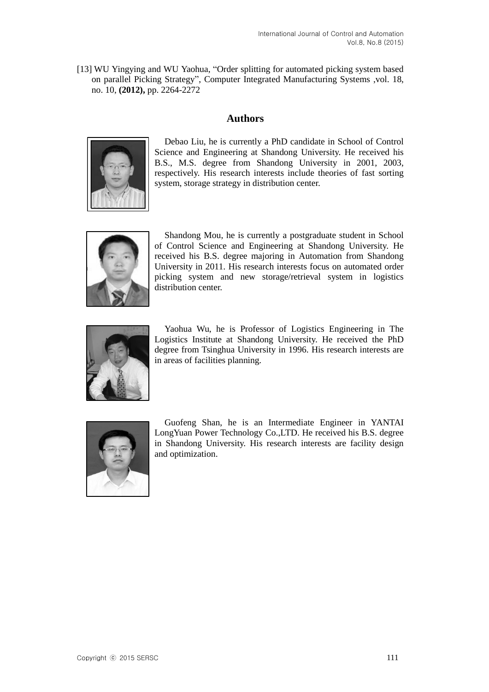[13] WU Yingying and WU Yaohua, "Order splitting for automated picking system based on parallel Picking Strategy", Computer Integrated Manufacturing Systems ,vol. 18, no. 10, **(2012),** pp. 2264-2272

## **Authors**



Debao Liu, he is currently a PhD candidate in School of Control Science and Engineering at Shandong University. He received his B.S., M.S. degree from Shandong University in 2001, 2003, respectively. His research interests include theories of fast sorting system, storage strategy in distribution center.



Shandong Mou, he is currently a postgraduate student in School of Control Science and Engineering at Shandong University. He received his B.S. degree majoring in Automation from Shandong University in 2011. His research interests focus on automated order picking system and new storage/retrieval system in logistics distribution center.



Yaohua Wu, he is Professor of Logistics Engineering in The Logistics Institute at Shandong University. He received the PhD degree from Tsinghua University in 1996. His research interests are in areas of facilities planning.



Guofeng Shan, he is an Intermediate Engineer in YANTAI LongYuan Power Technology Co.,LTD. He received his B.S. degree in Shandong University. His research interests are facility design and optimization.